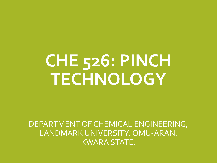# **CHE 526: PINCH TECHNOLOGY**

DEPARTMENT OF CHEMICAL ENGINEERING, LANDMARK UNIVERSITY, OMU-ARAN, KWARA STATE.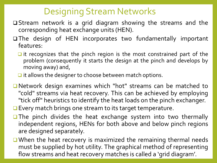#### Designing Stream Networks

- Stream network is a grid diagram showing the streams and the corresponding heat exchange units (HEN).
- The design of HEN incorporates two fundamentally important features:
	- **u** it recognizes that the pinch region is the most constrained part of the problem (consequently it starts the design at the pinch and develops by moving away) and,

 $\Box$  it allows the designer to choose between match options.

- Network design examines which "hot" streams can be matched to "cold" streams via heat recovery. This can be achieved by employing "tick off" heuristics to identify the heat loads on the pinch exchanger.
- **■** Every match brings one stream to its target temperature.
- **The pinch divides the heat exchange system into two thermally** independent regions, HENs for both above and below pinch regions are designed separately.
- When the heat recovery is maximized the remaining thermal needs must be supplied by hot utility. The graphical method of representing flow streams and heat recovery matches is called a 'grid diagram'.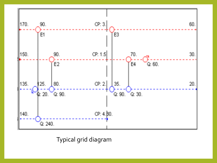

Typical grid diagram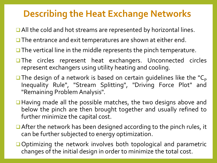#### **Describing the Heat Exchange Networks**

- **■** All the cold and hot streams are represented by horizontal lines.
- **□** The entrance and exit temperatures are shown at either end.
- $\Box$  The vertical line in the middle represents the pinch temperature.
- **The circles represent heat exchangers. Unconnected circles** represent exchangers using utility heating and cooling.
- $\square$  The design of a network is based on certain guidelines like the "C<sub>P</sub> Inequality Rule", "Stream Splitting", "Driving Force Plot" and "Remaining Problem Analysis".
- Having made all the possible matches, the two designs above and below the pinch are then brought together and usually refined to further minimize the capital cost.
- □ After the network has been designed according to the pinch rules, it can be further subjected to energy optimization.
- Optimizing the network involves both topological and parametric changes of the initial design in order to minimize the total cost.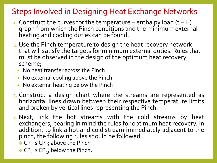#### Steps Involved in Designing Heat Exchange Networks

- 1. Construct the curves for the temperature enthalpy load  $(t H)$ graph from which the Pinch conditions and the minimum external heating and cooling duties can be found.
- 2. Use the Pinch temperature to design the heat recovery network that will satisfy the targets for minimum external duties. Rules that must be observed in the design of the optimum heat recovery scheme;
	- No heat transfer across the Pinch
	- No external cooling above the Pinch
	- No external heating below the Pinch
- 3. Construct a design chart where the streams are represented as horizontal lines drawn between their respective temperature limits and broken by vertical lines representing the Pinch.
- $\frac{1}{4}$ . Next, link the hot streams with the cold streams by heat exchangers, bearing in mind the rules for optimum heat recovery. In addition, to link a hot and cold stream immediately adjacent to the pinch, the following rules should be followed:
	- ❖  $CP_H \n≤ CP_C$ ; above the Pinch
	- ❖  $CP_H \ge CP_C$ ; below the Pinch.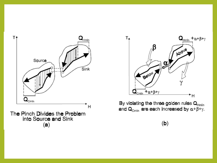

The Pinch Divides the Problem into Source and Sink  $\left( a\right)$ 



By violating the three golden rules  $\mathbf{Q}_{\text{Hmln}}$ and  $Q_{\text{Cmln}}$  are each increased by  $\alpha + \beta + \gamma$ .

#### $(b)$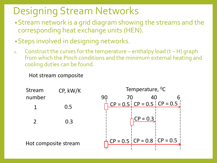#### Designing Stream Networks

- •Stream network is a grid diagram showing the streams and the corresponding heat exchange units (HEN).
- •Steps involved in designing networks.
- 1. Construct the curves for the temperature enthalpy load  $(t H)$  graph from which the Pinch conditions and the minimum external heating and cooling duties can be found.

Hot stream composite

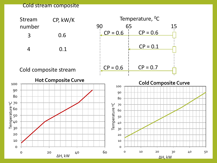#### Cold stream composite

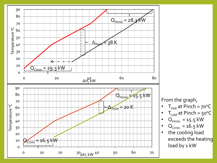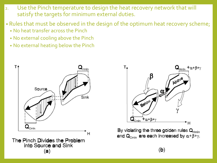- 2. Use the Pinch temperature to design the heat recovery network that will satisfy the targets for minimum external duties.
- Rules that must be observed in the design of the optimum heat recovery scheme;
	- No heat transfer across the Pinch
	- No external cooling above the Pinch
	- No external heating below the Pinch



The Pinch Divides the Problem into Source and Sink (a)



By violating the three golden rules  $Q_{Hmln}$ and  $\mathbf{Q}_{\text{Cmln}}$  are each increased by  $\alpha + \beta + \gamma$ .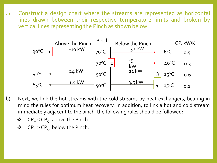a) Construct a design chart where the streams are represented as horizontal lines drawn between their respective temperature limits and broken by vertical lines representing the Pinch as shown below:



- b) Next, we link the hot streams with the cold streams by heat exchangers, bearing in mind the rules for optimum heat recovery. In addition, to link a hot and cold stream immediately adjacent to the pinch, the following rules should be followed:
	- $\bullet$  CP<sub>H</sub> ≤ CP<sub>C</sub>; above the Pinch
	- $\bullet$  CP<sub>H</sub> ≥ CP<sub>C</sub>; below the Pinch.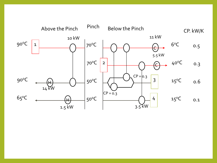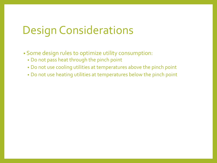#### Design Considerations

- Some design rules to optimize utility consumption:
	- Do not pass heat through the pinch point
	- Do not use cooling utilities at temperatures above the pinch point
	- Do not use heating utilities at temperatures below the pinch point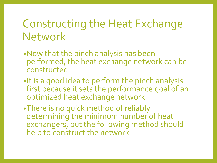- •Now that the pinch analysis has been performed, the heat exchange network can be constructed
- •It is a good idea to perform the pinch analysis first because it sets the performance goal of an optimized heat exchange network

•There is no quick method of reliably determining the minimum number of heat exchangers, but the following method should help to construct the network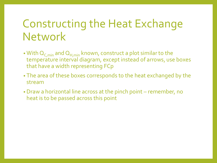- With  $Q_{C,min}$  and  $Q_{H,min}$  known, construct a plot similar to the temperature interval diagram, except instead of arrows, use boxes that have a width representing FCp
- The area of these boxes corresponds to the heat exchanged by the stream
- Draw a horizontal line across at the pinch point remember, no heat is to be passed across this point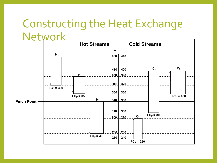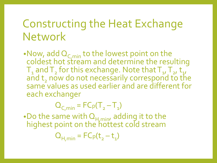•Now, add  $Q_{C,min}$  to the lowest point on the coldest hot stream and determine the resulting  $T_1$  and  $T_2$  for this exchange. Note that  $T_1$ ,  $T_2$ ,  $t_1$ , and  $t_1$  now do not necessarily correspond to the same values as used earlier and are different for each exchanger

$$
Q_{C,min} = FCp(T_2 - T_1)
$$

•Do the same with  $O_{H, min}$  adding it to the highest point on the hottest cold stream

$$
Q_{H,min} = FCp(t_2 - t_1)
$$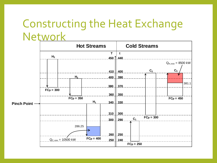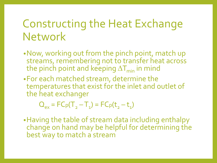- •Now, working out from the pinch point, match up streams, remembering not to transfer heat across the pinch point and keeping  $\Delta T_{min}$  in mind
- •For each matched stream, determine the temperatures that exist for the inlet and outlet of the heat exchanger

 $Q_{ex} = FCp(T_2 - T_1) = FCp(t_2 - t_1)$ 

•Having the table of stream data including enthalpy change on hand may be helpful for determining the best way to match a stream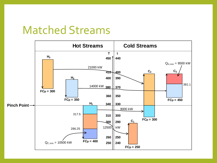#### Matched Streams